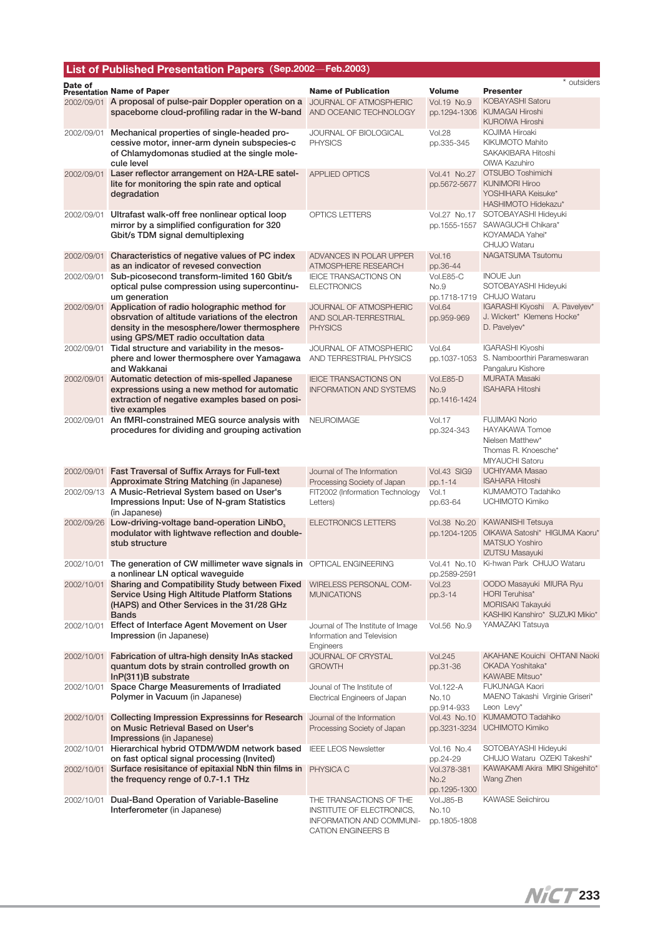## **List of Published Presentation Papers**(**Sep.2002**─**Feb.2003**)

| Date of    | <b>Presentation Name of Paper</b>                                                                                                                                       | <b>Name of Publication</b>                                                                                    | <b>Volume</b>                       | * outsiders<br><b>Presenter</b>                                                                          |
|------------|-------------------------------------------------------------------------------------------------------------------------------------------------------------------------|---------------------------------------------------------------------------------------------------------------|-------------------------------------|----------------------------------------------------------------------------------------------------------|
|            | 2002/09/01 A proposal of pulse-pair Doppler operation on a                                                                                                              | JOURNAL OF ATMOSPHERIC                                                                                        | Vol.19 No.9                         | KOBAYASHI Satoru                                                                                         |
|            | spaceborne cloud-profiling radar in the W-band                                                                                                                          | AND OCEANIC TECHNOLOGY                                                                                        | pp.1294-1306                        | <b>KUMAGAI Hiroshi</b><br><b>KUROIWA Hiroshi</b>                                                         |
| 2002/09/01 | Mechanical properties of single-headed pro-                                                                                                                             | JOURNAL OF BIOLOGICAL                                                                                         | <b>Vol.28</b>                       | KOJIMA Hiroaki                                                                                           |
|            | cessive motor, inner-arm dynein subspecies-c<br>of Chlamydomonas studied at the single mole-<br>cule level                                                              | <b>PHYSICS</b>                                                                                                | pp.335-345                          | <b>KIKUMOTO Mahito</b><br>SAKAKIBARA Hitoshi<br>OIWA Kazuhiro                                            |
| 2002/09/01 | Laser reflector arrangement on H2A-LRE satel-<br>lite for monitoring the spin rate and optical                                                                          | <b>APPLIED OPTICS</b>                                                                                         | Vol.41 No.27<br>pp.5672-5677        | OTSUBO Toshimichi<br><b>KUNIMORI Hiroo</b>                                                               |
|            | degradation                                                                                                                                                             |                                                                                                               |                                     | YOSHIHARA Keisuke*<br>HASHIMOTO Hidekazu*                                                                |
| 2002/09/01 | Ultrafast walk-off free nonlinear optical loop<br>mirror by a simplified configuration for 320<br>Gbit/s TDM signal demultiplexing                                      | OPTICS LETTERS                                                                                                | Vol.27 No.17<br>pp.1555-1557        | SOTOBAYASHI Hideyuki<br>SAWAGUCHI Chikara*<br>KOYAMADA Yahei*<br>CHUJO Wataru                            |
| 2002/09/01 | Characteristics of negative values of PC index<br>as an indicator of revesed convection                                                                                 | ADVANCES IN POLAR UPPER<br>ATMOSPHERE RESEARCH                                                                | <b>Vol.16</b><br>pp.36-44           | NAGATSUMA Tsutomu                                                                                        |
| 2002/09/01 | Sub-picosecond transform-limited 160 Gbit/s<br>optical pulse compression using supercontinu-<br>um generation                                                           | <b>IEICE TRANSACTIONS ON</b><br><b>ELECTRONICS</b>                                                            | Vol.E85-C<br>No.9<br>pp.1718-1719   | <b>INOUE Jun</b><br>SOTOBAYASHI Hideyuki<br>CHUJO Wataru                                                 |
| 2002/09/01 | Application of radio holographic method for                                                                                                                             | JOURNAL OF ATMOSPHERIC                                                                                        | <b>Vol.64</b>                       | IGARASHI Kiyoshi A. Pavelyev*                                                                            |
|            | obsrvation of altitude variations of the electron<br>density in the mesosphere/lower thermosphere<br>using GPS/MET radio occultation data                               | AND SOLAR-TERRESTRIAL<br><b>PHYSICS</b>                                                                       | pp.959-969                          | J. Wickert* Klemens Hocke*<br>D. Pavelyev*                                                               |
| 2002/09/01 | Tidal structure and variability in the mesos-<br>phere and lower thermosphere over Yamagawa<br>and Wakkanai                                                             | JOURNAL OF ATMOSPHERIC<br>AND TERRESTRIAL PHYSICS                                                             | <b>Vol.64</b><br>pp.1037-1053       | IGARASHI Kiyoshi<br>S. Namboorthiri Parameswaran<br>Pangaluru Kishore                                    |
| 2002/09/01 | Automatic detection of mis-spelled Japanese<br>expressions using a new method for automatic<br>extraction of negative examples based on posi-                           | <b>IEICE TRANSACTIONS ON</b><br><b>INFORMATION AND SYSTEMS</b>                                                | Vol.E85-D<br>No.9<br>pp.1416-1424   | <b>MURATA Masaki</b><br><b>ISAHARA Hitoshi</b>                                                           |
| 2002/09/01 | tive examples<br>An fMRI-constrained MEG source analysis with                                                                                                           | <b>NEUROIMAGE</b>                                                                                             | <b>Vol.17</b>                       | <b>FUJIMAKI Norio</b>                                                                                    |
|            | procedures for dividing and grouping activation                                                                                                                         |                                                                                                               | pp.324-343                          | HAYAKAWA Tomoe<br>Nielsen Matthew*<br>Thomas R. Knoesche*<br>MIYAUCHI Satoru                             |
|            | 2002/09/01 Fast Traversal of Suffix Arrays for Full-text<br>Approximate String Matching (in Japanese)                                                                   | Journal of The Information<br>Processing Society of Japan                                                     | Vol.43 SIG9<br>pp.1-14              | UCHIYAMA Masao<br><b>ISAHARA Hitoshi</b>                                                                 |
|            | 2002/09/13 A Music-Retrieval System based on User's<br>Impressions Input: Use of N-gram Statistics<br>(in Japanese)                                                     | FIT2002 (Information Technology<br>Letters)                                                                   | Vol.1<br>pp.63-64                   | KUMAMOTO Tadahiko<br>UCHIMOTO Kimiko                                                                     |
| 2002/09/26 | Low-driving-voltage band-operation LiNbO <sub>3</sub><br>modulator with lightwave reflection and double-<br>stub structure                                              | <b>ELECTRONICS LETTERS</b>                                                                                    | Vol.38 No.20<br>pp.1204-1205        | <b>KAWANISHI Tetsuya</b><br>OIKAWA Satoshi* HIGUMA Kaoru*<br>MATSUO Yoshiro<br><b>IZUTSU Masayuki</b>    |
| 2002/10/01 | The generation of CW millimeter wave signals in OPTICAL ENGINEERING<br>a nonlinear LN optical wavequide                                                                 |                                                                                                               | Vol.41 No.10<br>pp.2589-2591        | Ki-hwan Park CHUJO Wataru                                                                                |
|            | 2002/10/01 Sharing and Compatibility Study between Fixed<br>Service Using High Altitude Platform Stations<br>(HAPS) and Other Services in the 31/28 GHz<br><b>Bands</b> | WIRELESS PERSONAL COM-<br><b>MUNICATIONS</b>                                                                  | <b>Vol.23</b><br>pp.3-14            | OODO Masayuki MIURA Ryu<br>HORI Teruhisa*<br><b>MORISAKI Takayuki</b><br>KASHIKI Kanshiro* SUZUKI Mikio* |
| 2002/10/01 | Effect of Interface Agent Movement on User<br>Impression (in Japanese)                                                                                                  | Journal of The Institute of Image<br>Information and Television<br>Engineers                                  | Vol.56 No.9                         | YAMAZAKI Tatsuya                                                                                         |
| 2002/10/01 | Fabrication of ultra-high density InAs stacked<br>quantum dots by strain controlled growth on<br>$InP(311)B$ substrate                                                  | JOURNAL OF CRYSTAL<br><b>GROWTH</b>                                                                           | <b>Vol.245</b><br>pp.31-36          | AKAHANE Kouichi OHTANI Naoki<br>OKADA Yoshitaka*<br>KAWABE Mitsuo*                                       |
| 2002/10/01 | Space Charge Measurements of Irradiated<br>Polymer in Vacuum (in Japanese)                                                                                              | Jounal of The Institute of<br>Electrical Engineers of Japan                                                   | Vol.122-A<br>No.10<br>pp.914-933    | FUKUNAGA Kaori<br>MAENO Takashi Virginie Griseri*<br>Leon Levy*                                          |
|            | 2002/10/01 Collecting Impression Expressinns for Research<br>on Music Retrieval Based on User's<br>Impressions (in Japanese)                                            | Journal of the Information<br>Processing Society of Japan                                                     | Vol.43 No.10<br>pp.3231-3234        | KUMAMOTO Tadahiko<br><b>UCHIMOTO Kimiko</b>                                                              |
| 2002/10/01 | Hierarchical hybrid OTDM/WDM network based<br>on fast optical signal processing (Invited)                                                                               | <b>IEEE LEOS Newsletter</b>                                                                                   | Vol.16 No.4<br>pp.24-29             | SOTOBAYASHI Hideyuki<br>CHUJO Wataru OZEKI Takeshi*                                                      |
|            | 2002/10/01 Surface resisitance of epitaxial NbN thin films in<br>the frequency renge of 0.7-1.1 THz                                                                     | PHYSICA C                                                                                                     | Vol.378-381<br>No.2<br>pp.1295-1300 | KAWAKAMI Akira MIKI Shigehito*<br>Wang Zhen                                                              |
| 2002/10/01 | Dual-Band Operation of Variable-Baseline<br>Interferometer (in Japanese)                                                                                                | THE TRANSACTIONS OF THE<br>INSTITUTE OF ELECTRONICS,<br>INFORMATION AND COMMUNI-<br><b>CATION ENGINEERS B</b> | Vol.J85-B<br>No.10<br>pp.1805-1808  | <b>KAWASE Selichirou</b>                                                                                 |

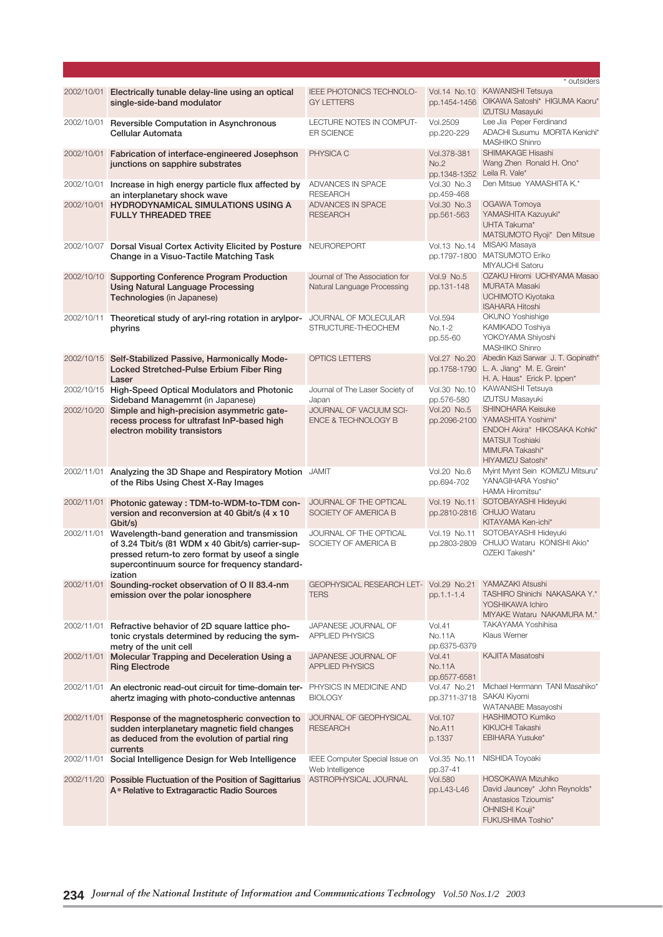|            |                                                                                                                                                                                                                |                                                               |                                                    | * outsiders                                                                                                                                            |
|------------|----------------------------------------------------------------------------------------------------------------------------------------------------------------------------------------------------------------|---------------------------------------------------------------|----------------------------------------------------|--------------------------------------------------------------------------------------------------------------------------------------------------------|
| 2002/10/01 | Electrically tunable delay-line using an optical<br>single-side-band modulator                                                                                                                                 | IEEE PHOTONICS TECHNOLO-<br><b>GY LETTERS</b>                 | Vol.14 No.10<br>pp.1454-1456                       | <b>KAWANISHI Tetsuya</b><br>OIKAWA Satoshi* HIGUMA Kaoru*<br>IZUTSU Masayuki                                                                           |
| 2002/10/01 | Reversible Computation in Asynchronous<br>Cellular Automata                                                                                                                                                    | LECTURE NOTES IN COMPUT-<br><b>ER SCIENCE</b>                 | Vol.2509<br>pp.220-229                             | Lee Jia Peper Ferdinand<br>ADACHI Susumu MORITA Kenichi*<br><b>MASHIKO Shinro</b>                                                                      |
| 2002/10/01 | Fabrication of interface-engineered Josephson<br>junctions on sapphire substrates                                                                                                                              | PHYSICA C                                                     | Vol.378-381<br>No.2<br>pp.1348-1352 Leila R. Vale* | SHIMAKAGE Hisashi<br>Wang Zhen Ronald H. Ono*                                                                                                          |
|            | 2002/10/01 Increase in high energy particle flux affected by<br>an interplanetary shock wave                                                                                                                   | ADVANCES IN SPACE<br><b>RESEARCH</b>                          | Vol.30 No.3<br>pp.459-468                          | Den Mitsue YAMASHITA K.*                                                                                                                               |
|            | 2002/10/01 HYDRODYNAMICAL SIMULATIONS USING A<br><b>FULLY THREADED TREE</b>                                                                                                                                    | ADVANCES IN SPACE<br><b>RESEARCH</b>                          | <b>Vol.30 No.3</b><br>pp.561-563                   | OGAWA Tomoya<br>YAMASHITA Kazuyuki*<br>UHTA Takuma*<br>MATSUMOTO Ryoji* Den Mitsue                                                                     |
| 2002/10/07 | Dorsal Visual Cortex Activity Elicited by Posture<br>Change in a Visuo-Tactile Matching Task                                                                                                                   | NEUROREPORT                                                   | Vol.13 No.14                                       | MISAKI Masaya<br>pp.1797-1800 MATSUMOTO Eriko<br>MIYAUCHI Satoru                                                                                       |
| 2002/10/10 | Supporting Conference Program Production<br><b>Using Natural Language Processing</b><br>Technologies (in Japanese)                                                                                             | Journal of The Association for<br>Natural Language Processing | Vol.9 No.5<br>pp.131-148                           | OZAKU Hiromi UCHIYAMA Masao<br><b>MURATA Masaki</b><br>UCHIMOTO Kiyotaka<br><b>ISAHARA Hitoshi</b>                                                     |
| 2002/10/11 | Theoretical study of aryl-ring rotation in arylpor-<br>phyrins                                                                                                                                                 | JOURNAL OF MOLECULAR<br>STRUCTURE-THEOCHEM                    | <b>Vol.594</b><br>No.1-2<br>pp.55-60               | OKUNO Yoshishige<br>KAMIKADO Toshiya<br>YOKOYAMA Shiyoshi<br><b>MASHIKO Shinro</b>                                                                     |
| 2002/10/15 | Self-Stabilized Passive, Harmonically Mode-<br>Locked Stretched-Pulse Erbium Fiber Ring<br>Laser                                                                                                               | <b>OPTICS LETTERS</b>                                         | Vol.27 No.20                                       | Abedin Kazi Sarwar J. T. Gopinath*<br>pp.1758-1790 L. A. Jiang* M. E. Grein*<br>H. A. Haus* Erick P. Ippen*                                            |
|            | 2002/10/15 High-Speed Optical Modulators and Photonic<br>Sideband Managemrnt (in Japanese)                                                                                                                     | Journal of The Laser Society of<br>Japan                      | pp.576-580                                         | Vol.30 No.10 KAWANISHI Tetsuya<br>IZUTSU Masayuki                                                                                                      |
| 2002/10/20 | Simple and high-precision asymmetric gate-<br>recess process for ultrafast InP-based high<br>electron mobility transistors                                                                                     | JOURNAL OF VACUUM SCI-<br><b>ENCE &amp; TECHNOLOGY B</b>      | Vol.20 No.5                                        | SHINOHARA Keisuke<br>pp.2096-2100 YAMASHITA Yoshimi*<br>ENDOH Akira* HIKOSAKA Kohki*<br><b>MATSUI Toshiaki</b><br>MIMURA Takashi*<br>HIYAMIZU Satoshi* |
|            | 2002/11/01 Analyzing the 3D Shape and Respiratory Motion JAMIT<br>of the Ribs Using Chest X-Ray Images                                                                                                         |                                                               | Vol.20 No.6<br>pp.694-702                          | Myint Myint Sein KOMIZU Mitsuru*<br>YANAGIHARA Yoshio*<br>HAMA Hiromitsu*                                                                              |
| 2002/11/01 | Photonic gateway: TDM-to-WDM-to-TDM con-<br>version and reconversion at 40 Gbit/s (4 x 10<br>Gbit/s)                                                                                                           | JOURNAL OF THE OPTICAL<br>SOCIETY OF AMERICA B                |                                                    | Vol.19 No.11 SOTOBAYASHI Hideyuki<br>pp.2810-2816 CHUJO Wataru<br>KITAYAMA Ken-ichi*                                                                   |
| 2002/11/01 | Wavelength-band generation and transmission<br>of 3.24 Tbit/s (81 WDM x 40 Gbit/s) carrier-sup-<br>pressed return-to zero format by useof a single<br>supercontinuum source for frequency standard-<br>ization | JOURNAL OF THE OPTICAL<br>SOCIETY OF AMERICA B                |                                                    | Vol.19 No.11 SOTOBAYASHI Hideyuki<br>pp.2803-2809 CHUJO Wataru KONISHI Akio*<br>OZEKI Takeshi*                                                         |
| 2002/11/01 | Sounding-rocket observation of O II 83.4-nm<br>emission over the polar ionosphere                                                                                                                              | GEOPHYSICAL RESEARCH LET- Vol.29 No.21<br><b>TERS</b>         | pp.1.1-1.4                                         | YAMAZAKI Atsushi<br>TASHIRO Shinichi NAKASAKA Y.*<br>YOSHIKAWA Ichiro<br>MIYAKE Wataru NAKAMURA M.*                                                    |
|            | 2002/11/01 Refractive behavior of 2D square lattice pho-<br>tonic crystals determined by reducing the sym-<br>metry of the unit cell                                                                           | JAPANESE JOURNAL OF<br><b>APPLIED PHYSICS</b>                 | <b>Vol.41</b><br><b>No.11A</b><br>pp.6375-6379     | TAKAYAMA Yoshihisa<br>Klaus Werner                                                                                                                     |
|            | 2002/11/01 Molecular Trapping and Deceleration Using a<br><b>Ring Electrode</b>                                                                                                                                | JAPANESE JOURNAL OF<br><b>APPLIED PHYSICS</b>                 | <b>Vol.41</b><br><b>No.11A</b><br>pp.6577-6581     | KAJITA Masatoshi                                                                                                                                       |
|            | 2002/11/01 An electronic read-out circuit for time-domain ter-<br>ahertz imaging with photo-conductive antennas                                                                                                | PHYSICS IN MEDICINE AND<br><b>BIOLOGY</b>                     | Vol.47 No.21<br>pp.3711-3718 SAKAI Kiyomi          | Michael Herrmann TANI Masahiko*<br>WATANABE Masayoshi                                                                                                  |
| 2002/11/01 | Response of the magnetospheric convection to<br>sudden interplanetary magnetic field changes<br>as deduced from the evolution of partial ring<br>currents                                                      | JOURNAL OF GEOPHYSICAL<br><b>RESEARCH</b>                     | <b>Vol.107</b><br><b>No.A11</b><br>p.1337          | <b>HASHIMOTO Kumiko</b><br><b>KIKUCHI Takashi</b><br>EBIHARA Yusuke*                                                                                   |
| 2002/11/01 | Social Intelligence Design for Web Intelligence                                                                                                                                                                | IEEE Computer Special Issue on<br>Web Intelligence            | Vol.35 No.11<br>pp.37-41                           | NISHIDA Toyoaki                                                                                                                                        |
|            | 2002/11/20 Possible Fluctuation of the Position of Sagittarius<br>A* Relative to Extragaractic Radio Sources                                                                                                   | ASTROPHYSICAL JOURNAL                                         | <b>Vol.580</b><br>pp.L43-L46                       | HOSOKAWA Mizuhiko<br>David Jauncey* John Reynolds*<br>Anastasios Tzioumis*<br>OHNISHI Kouji*<br>FUKUSHIMA Toshio*                                      |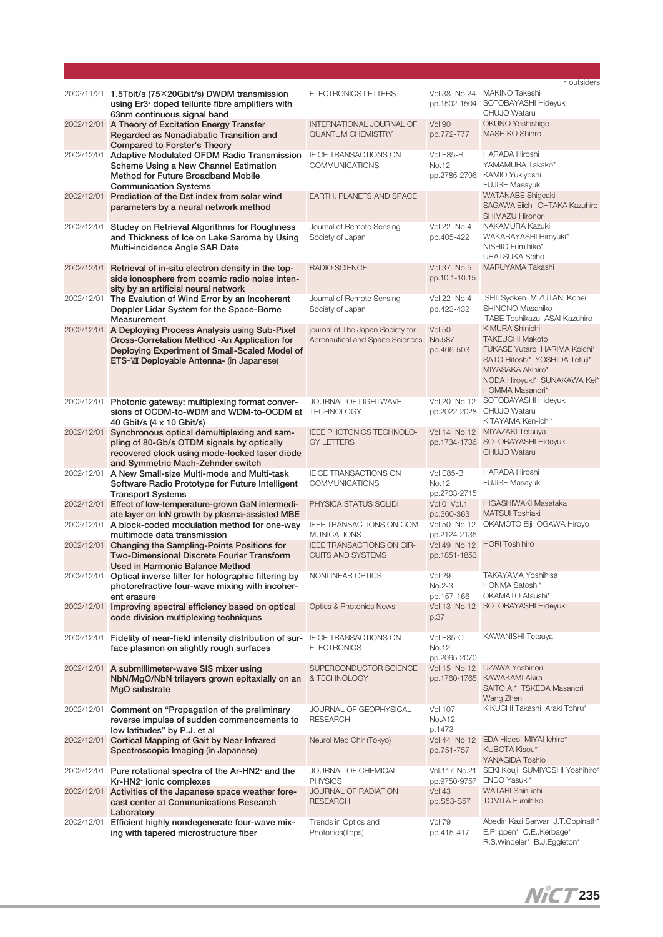|                          |                                                                                                                                                                                            |                                                                          |                                                           | * outsiders                                                                                                                                                                               |
|--------------------------|--------------------------------------------------------------------------------------------------------------------------------------------------------------------------------------------|--------------------------------------------------------------------------|-----------------------------------------------------------|-------------------------------------------------------------------------------------------------------------------------------------------------------------------------------------------|
|                          | 2002/11/21 1.5Tbit/s (75×20Gbit/s) DWDM transmission<br>using Er3 <sup>+</sup> doped tellurite fibre amplifiers with<br>63nm continuous signal band                                        | <b>ELECTRONICS LETTERS</b>                                               | Vol.38 No.24                                              | MAKINO Takeshi<br>pp.1502-1504 SOTOBAYASHI Hideyuki<br>CHUJO Wataru                                                                                                                       |
| 2002/12/01               | A Theory of Excitation Energy Transfer<br>Regarded as Nonadiabatic Transition and<br><b>Compared to Forster's Theory</b>                                                                   | INTERNATIONAL JOURNAL OF<br><b>QUANTUM CHEMISTRY</b>                     | <b>Vol.90</b><br>pp.772-777                               | <b>OKUNO Yoshishige</b><br><b>MASHIKO Shinro</b>                                                                                                                                          |
| 2002/12/01               | Adaptive Modulated OFDM Radio Transmission<br>Scheme Using a New Channel Estimation<br>Method for Future Broadband Mobile<br><b>Communication Systems</b>                                  | <b>IEICE TRANSACTIONS ON</b><br><b>COMMUNICATIONS</b>                    | Vol.E85-B<br>No.12<br>pp.2785-2796                        | <b>HARADA Hiroshi</b><br>YAMAMURA Takako*<br>KAMIO Yukiyoshi<br><b>FUJISE Masayuki</b>                                                                                                    |
| 2002/12/01               | Prediction of the Dst index from solar wind<br>parameters by a neural network method                                                                                                       | EARTH, PLANETS AND SPACE                                                 |                                                           | <b>WATANABE Shigeaki</b><br>SAGAWA Eiichi OHTAKA Kazuhiro<br>SHIMAZU Hironori                                                                                                             |
| 2002/12/01               | Studey on Retrieval Algorithms for Roughness<br>and Thickness of Ice on Lake Saroma by Using<br>Multi-incidence Angle SAR Date                                                             | Journal of Remote Sensing<br>Society of Japan                            | Vol.22 No.4<br>pp.405-422                                 | NAKAMURA Kazuki<br>WAKABAYASHI Hiroyuki*<br>NISHIO Fumihiko*<br><b>URATSUKA Seiho</b>                                                                                                     |
| 2002/12/01               | Retrieval of in-situ electron density in the top-<br>side ionosphere from cosmic radio noise inten-<br>sity by an artificial neural network                                                | <b>RADIO SCIENCE</b>                                                     | Vol.37 No.5<br>pp.10.1-10.15                              | MARUYAMA Takashi                                                                                                                                                                          |
| 2002/12/01               | The Evalution of Wind Error by an Incoherent<br>Doppler Lidar System for the Space-Borne<br>Measurement                                                                                    | Journal of Remote Sensing<br>Society of Japan                            | Vol.22 No.4<br>pp.423-432                                 | ISHII Syoken MIZUTANI Kohei<br>SHINONO Masahiko<br><b>ITABE Toshikazu ASAI Kazuhiro</b>                                                                                                   |
| 2002/12/01               | A Deploying Process Analysis using Sub-Pixel<br>Cross-Correlation Method -An Application for<br>Deploying Experiment of Small-Scaled Model of<br>ETS-WII Deployable Antenna- (in Japanese) | journal of The Japan Society for<br>Aeronautical and Space Sciences      | <b>Vol.50</b><br>No.587<br>pp.406-503                     | <b>KIMURA Shinichi</b><br><b>TAKEUCHI Makoto</b><br>FUKASE Yutaro HARIMA Koichi*<br>SATO Hitoshi* YOSHIDA Tetuji*<br>MIYASAKA Akihiro*<br>NODA Hiroyuki* SUNAKAWA Kei*<br>HOMMA Masanori* |
| 2002/12/01               | Photonic gateway: multiplexing format conver-<br>sions of OCDM-to-WDM and WDM-to-OCDM at TECHNOLOGY<br>40 Gbit/s (4 x 10 Gbit/s)                                                           | JOURNAL OF LIGHTWAVE                                                     | Vol.20 No.12                                              | SOTOBAYASHI Hideyuki<br>pp.2022-2028 CHUJO Wataru<br>KITAYAMA Ken-ichi*                                                                                                                   |
| 2002/12/01               | Synchronous optical demultiplexing and sam-<br>pling of 80-Gb/s OTDM signals by optically<br>recovered clock using mode-locked laser diode<br>and Symmetric Mach-Zehnder switch            | IEEE PHOTONICS TECHNOLO-<br><b>GY LETTERS</b>                            |                                                           | Vol.14 No.12 MIYAZAKI Tetsuya<br>pp.1734-1736 SOTOBAYASHI Hideyuki<br><b>CHUJO Wataru</b>                                                                                                 |
| 2002/12/01               | A New Small-size Multi-mode and Multi-task<br>Software Radio Prototype for Future Intelligent<br><b>Transport Systems</b>                                                                  | <b>IEICE TRANSACTIONS ON</b><br><b>COMMUNICATIONS</b>                    | Vol.E85-B<br>No.12<br>pp.2703-2715                        | HARADA Hiroshi<br><b>FUJISE Masayuki</b>                                                                                                                                                  |
| 2002/12/01<br>2002/12/01 | Effect of low-temperature-grown GaN intermedi-<br>ate layer on InN growth by plasma-assisted MBE<br>A block-coded modulation method for one-way<br>multimode data transmission             | PHYSICA STATUS SOLIDI<br>IEEE TRANSACTIONS ON COM-<br><b>MUNICATIONS</b> | Vol.0 Vol.1<br>pp.360-363<br>Vol.50 No.12<br>pp.2124-2135 | HIGASHIWAKI Masataka<br><b>MATSUI Toshiaki</b><br>OKAMOTO Eiji OGAWA Hiroyo                                                                                                               |
| 2002/12/01               | Changing the Sampling-Points Positions for<br><b>Two-Dimensional Discrete Fourier Transform</b><br>Used in Harmonic Balance Method                                                         | IEEE TRANSACTIONS ON CIR-<br><b>CUITS AND SYSTEMS</b>                    | pp.1851-1853                                              | Vol.49 No.12 HORI Toshihiro                                                                                                                                                               |
|                          | 2002/12/01 Optical inverse filter for holographic filtering by NONLINEAR OPTICS<br>photorefractive four-wave mixing with incoher-<br>ent erasure                                           |                                                                          | Vol.29<br>$No.2-3$<br>pp.157-166                          | TAKAYAMA Yoshihisa<br>HONMA Satoshi*<br>OKAMATO Atsushi*                                                                                                                                  |
| 2002/12/01               | Improving spectral efficiency based on optical<br>code division multiplexing techniques                                                                                                    | <b>Optics &amp; Photonics News</b>                                       | p.37                                                      | Vol.13 No.12 SOTOBAYASHI Hideyuki                                                                                                                                                         |
|                          | 2002/12/01 Fidelity of near-field intensity distribution of sur- IEICE TRANSACTIONS ON<br>face plasmon on slightly rough surfaces                                                          | <b>ELECTRONICS</b>                                                       | Vol.E85-C<br>No.12<br>pp.2065-2070                        | KAWANISHI Tetsuya                                                                                                                                                                         |
| 2002/12/01               | A submillimeter-wave SIS mixer using<br>NbN/MgO/NbN trilayers grown epitaxially on an<br>MgO substrate                                                                                     | SUPERCONDUCTOR SCIENCE<br>& TECHNOLOGY                                   |                                                           | Vol.15 No.12 UZAWA Yoshinori<br>pp.1760-1765 KAWAKAMI Akira<br>SAITO A.* TSKEDA Masanori<br>Wang Zhen                                                                                     |
|                          | 2002/12/01 Comment on "Propagation of the preliminary<br>reverse impulse of sudden commencements to<br>low latitudes" by P.J. et al                                                        | JOURNAL OF GEOPHYSICAL<br><b>RESEARCH</b>                                | <b>Vol.107</b><br><b>No.A12</b><br>p.1473                 | KIKUCHI Takashi Araki Tohru*                                                                                                                                                              |
|                          | 2002/12/01 Cortical Mapping of Gait by Near Infrared<br>Spectroscopic Imaging (in Japanese)                                                                                                | Neurol Med Chir (Tokyo)                                                  | pp.751-757                                                | Vol.44 No.12 EDA Hideo MIYAI Ichiro*<br>KUBOTA Kisou*<br>YANAGIDA Toshio                                                                                                                  |
|                          | 2002/12/01 Pure rotational spectra of the Ar-HN2+ and the<br>Kr-HN2+ ionic complexes                                                                                                       | JOURNAL OF CHEMICAL<br><b>PHYSICS</b>                                    |                                                           | Vol.117 No.21 SEKI Kouji SUMIYOSHI Yoshihiro*<br>pp.9750-9757 ENDO Yasuki*                                                                                                                |
| 2002/12/01               | Activities of the Japanese space weather fore-<br>cast center at Communications Research<br>Laboratory                                                                                     | JOURNAL OF RADIATION<br><b>RESEARCH</b>                                  | <b>Vol.43</b><br>pp.S53-S57                               | WATARI Shin-ichi<br><b>TOMITA Fumihiko</b>                                                                                                                                                |
|                          | 2002/12/01 Efficient highly nondegenerate four-wave mix-<br>ing with tapered microstructure fiber                                                                                          | Trends in Optics and<br>Photonics(Tops)                                  | <b>Vol.79</b><br>pp.415-417                               | Abedin Kazi Sarwar J.T.Gopinath*<br>E.P. Ippen* C.E Kerbage*<br>R.S.Windeler* B.J.Eggleton*                                                                                               |

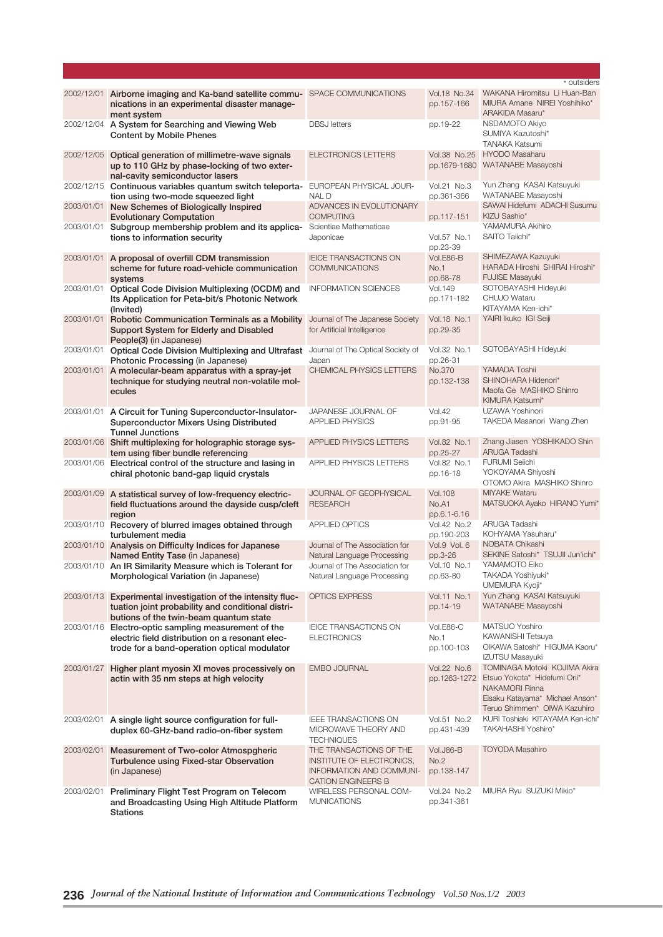|            |                                                                                                                                                             |                                                                                                               |                                        | * outsiders                                                                                                                                                           |
|------------|-------------------------------------------------------------------------------------------------------------------------------------------------------------|---------------------------------------------------------------------------------------------------------------|----------------------------------------|-----------------------------------------------------------------------------------------------------------------------------------------------------------------------|
|            | 2002/12/01 Airborne imaging and Ka-band satellite commu- SPACE COMMUNICATIONS<br>nications in an experimental disaster manage-<br>ment system               |                                                                                                               | Vol.18 No.34<br>pp.157-166             | WAKANA Hiromitsu Li Huan-Ban<br>MIURA Amane NIREI Yoshihiko*<br>ARAKIDA Masaru*                                                                                       |
|            | 2002/12/04 A System for Searching and Viewing Web<br><b>Content by Mobile Phenes</b>                                                                        | <b>DBSJ</b> letters                                                                                           | pp.19-22                               | NSDAMOTO Akiyo<br>SUMIYA Kazutoshi*<br><b>TANAKA Katsumi</b>                                                                                                          |
|            | 2002/12/05 Optical generation of millimetre-wave signals<br>up to 110 GHz by phase-locking of two exter-<br>nal-cavity semiconductor lasers                 | <b>ELECTRONICS LETTERS</b>                                                                                    |                                        | Vol.38 No.25 HYODO Masaharu<br>pp.1679-1680 WATANABE Masayoshi                                                                                                        |
|            | 2002/12/15 Continuous variables quantum switch teleporta-<br>tion using two-mode squeezed light                                                             | EUROPEAN PHYSICAL JOUR-<br><b>NALD</b>                                                                        | Vol.21 No.3<br>pp.361-366              | Yun Zhang KASAI Katsuyuki<br>WATANABE Masayoshi                                                                                                                       |
|            | 2003/01/01 New Schemes of Biologically Inspired<br><b>Evolutionary Computation</b>                                                                          | ADVANCES IN EVOLUTIONARY<br><b>COMPUTING</b>                                                                  | pp.117-151                             | SAWAI Hidefumi ADACHI Susumu<br>KIZU Sashio*                                                                                                                          |
| 2003/01/01 | Subgroup membership problem and its applica-<br>tions to information security                                                                               | Scientiae Mathematicae<br>Japonicae                                                                           | Vol.57 No.1<br>pp.23-39                | YAMAMURA Akihiro<br>SAITO Taiichi*                                                                                                                                    |
|            | 2003/01/01 A proposal of overfill CDM transmission<br>scheme for future road-vehicle communication<br>systems                                               | <b>IEICE TRANSACTIONS ON</b><br><b>COMMUNICATIONS</b>                                                         | Vol.E86-B<br><b>No.1</b><br>pp.68-78   | SHIMEZAWA Kazuyuki<br>HARADA Hiroshi SHIRAI Hiroshi*<br><b>FUJISE Masayuki</b>                                                                                        |
| 2003/01/01 | Optical Code Division Multiplexing (OCDM) and<br>Its Application for Peta-bit/s Photonic Network<br>(Invited)                                               | <b>INFORMATION SCIENCES</b>                                                                                   | <b>Vol.149</b><br>pp.171-182           | SOTOBAYASHI Hideyuki<br>CHUJO Wataru<br>KITAYAMA Ken-ichi*                                                                                                            |
| 2003/01/01 | Robotic Communication Terminals as a Mobility<br>Support System for Elderly and Disabled<br>People(3) (in Japanese)                                         | Journal of The Japanese Society<br>for Artificial Intelligence                                                | Vol.18 No.1<br>pp.29-35                | YAIRI Ikuko IGI Seiji                                                                                                                                                 |
| 2003/01/01 | Optical Code Division Multiplexing and Ultrafast Journal of The Optical Society of<br>Photonic Processing (in Japanese)                                     | Japan                                                                                                         | Vol.32 No.1<br>pp.26-31                | SOTOBAYASHI Hideyuki                                                                                                                                                  |
| 2003/01/01 | A molecular-beam apparatus with a spray-jet<br>technique for studying neutral non-volatile mol-<br>ecules                                                   | CHEMICAL PHYSICS LETTERS                                                                                      | No.370<br>pp.132-138                   | YAMADA Toshii<br>SHINOHARA Hidenori*<br>Maofa Ge MASHIKO Shinro<br>KIMURA Katsumi*                                                                                    |
|            | 2003/01/01 A Circuit for Tuning Superconductor-Insulator-<br><b>Superconductor Mixers Using Distributed</b><br><b>Tunnel Junctions</b>                      | JAPANESE JOURNAL OF<br><b>APPLIED PHYSICS</b>                                                                 | Vol.42<br>pp.91-95                     | UZAWA Yoshinori<br>TAKEDA Masanori Wang Zhen                                                                                                                          |
|            | 2003/01/06 Shift multiplexing for holographic storage sys-<br>tem using fiber bundle referencing                                                            | APPLIED PHYSICS LETTERS                                                                                       | Vol.82 No.1<br>pp.25-27                | Zhang Jiasen YOSHIKADO Shin<br>ARUGA Tadashi                                                                                                                          |
|            | 2003/01/06 Electrical control of the structure and lasing in<br>chiral photonic band-gap liquid crystals                                                    | APPLIED PHYSICS LETTERS                                                                                       | Vol.82 No.1<br>pp.16-18                | <b>FURUMI Seiichi</b><br>YOKOYAMA Shiyoshi<br>OTOMO Akira MASHIKO Shinro                                                                                              |
| 2003/01/09 | A statistical survey of low-frequency electric-<br>field fluctuations around the dayside cusp/cleft<br>region                                               | JOURNAL OF GEOPHYSICAL<br><b>RESEARCH</b>                                                                     | <b>Vol.108</b><br>No.A1<br>pp.6.1-6.16 | <b>MIYAKE Wataru</b><br>MATSUOKA Ayako HIRANO Yumi*                                                                                                                   |
|            | 2003/01/10 Recovery of blurred images obtained through<br>turbulement media                                                                                 | <b>APPLIED OPTICS</b>                                                                                         | Vol.42 No.2<br>pp.190-203              | ARUGA Tadashi<br>KOHYAMA Yasuharu*                                                                                                                                    |
|            | 2003/01/10 Analysis on Difficulty Indices for Japanese<br>Named Entity Tase (in Japanese)                                                                   | Journal of The Association for<br>Natural Language Processing                                                 | Vol.9 Vol. 6<br>pp.3-26                | NOBATA Chikashi<br>SEKINE Satoshi* TSUJII Jun'ichi*                                                                                                                   |
|            | 2003/01/10 An IR Similarity Measure which is Tolerant for<br>Morphological Variation (in Japanese)                                                          | Journal of The Association for<br>Natural Language Processing                                                 | Vol.10 No.1<br>pp.63-80                | YAMAMOTO Eiko<br>TAKADA Yoshiyuki*<br>UMEMURA Kyoji*                                                                                                                  |
|            | 2003/01/13 Experimental investigation of the intensity fluc-<br>tuation joint probability and conditional distri-<br>butions of the twin-beam quantum state | <b>OPTICS EXPRESS</b>                                                                                         | Vol.11 No.1<br>pp.14-19                | Yun Zhang KASAI Katsuyuki<br>WATANABE Masayoshi                                                                                                                       |
| 2003/01/16 | Electro-optic sampling measurement of the<br>electric field distribution on a resonant elec-<br>trode for a band-operation optical modulator                | <b>IEICE TRANSACTIONS ON</b><br><b>ELECTRONICS</b>                                                            | Vol.E86-C<br>No.1<br>pp.100-103        | MATSUO Yoshiro<br>KAWANISHI Tetsuya<br>OIKAWA Satoshi* HIGUMA Kaoru*<br><b>IZUTSU Masayuki</b>                                                                        |
| 2003/01/27 | Higher plant myosin XI moves processively on<br>actin with 35 nm steps at high velocity                                                                     | <b>EMBO JOURNAL</b>                                                                                           | Vol.22 No.6                            | TOMINAGA Motoki KOJIMA Akira<br>pp.1263-1272 Etsuo Yokota* Hidefumi Orii*<br><b>NAKAMORI Rinna</b><br>Eisaku Katayama* Michael Anson*<br>Teruo Shimmen* OIWA Kazuhiro |
| 2003/02/01 | A single light source configuration for full-<br>duplex 60-GHz-band radio-on-fiber system                                                                   | IEEE TRANSACTIONS ON<br>MICROWAVE THEORY AND<br><b>TECHNIQUES</b>                                             | Vol.51 No.2<br>pp.431-439              | KURI Toshiaki KITAYAMA Ken-ichi*<br>TAKAHASHI Yoshiro*                                                                                                                |
| 2003/02/01 | Measurement of Two-color Atmospgheric<br>Turbulence using Fixed-star Observation<br>(in Japanese)                                                           | THE TRANSACTIONS OF THE<br>INSTITUTE OF ELECTRONICS,<br>INFORMATION AND COMMUNI-<br><b>CATION ENGINEERS B</b> | Vol.J86-B<br>No.2<br>pp.138-147        | <b>TOYODA Masahiro</b>                                                                                                                                                |
| 2003/02/01 | Preliminary Flight Test Program on Telecom<br>and Broadcasting Using High Altitude Platform<br><b>Stations</b>                                              | WIRELESS PERSONAL COM-<br><b>MUNICATIONS</b>                                                                  | Vol.24 No.2<br>pp.341-361              | MIURA Ryu SUZUKI Mikio*                                                                                                                                               |